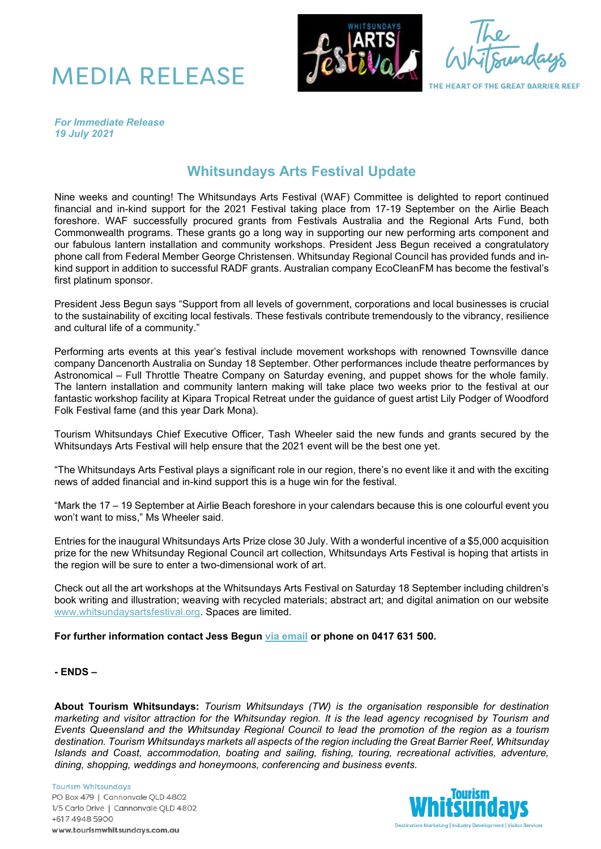



THE HEART OF THE GREAT BARRIER REEF

*For Immediate Release 19 July 2021*

## **Whitsundays Arts Festival Update**

Nine weeks and counting! The Whitsundays Arts Festival (WAF) Committee is delighted to report continued financial and in-kind support for the 2021 Festival taking place from 17-19 September on the Airlie Beach foreshore. WAF successfully procured grants from Festivals Australia and the Regional Arts Fund, both Commonwealth programs. These grants go a long way in supporting our new performing arts component and our fabulous lantern installation and community workshops. President Jess Begun received a congratulatory phone call from Federal Member George Christensen. Whitsunday Regional Council has provided funds and inkind support in addition to successful RADF grants. Australian company EcoCleanFM has become the festival's first platinum sponsor.

President Jess Begun says "Support from all levels of government, corporations and local businesses is crucial to the sustainability of exciting local festivals. These festivals contribute tremendously to the vibrancy, resilience and cultural life of a community."

Performing arts events at this year's festival include movement workshops with renowned Townsville dance company Dancenorth Australia on Sunday 18 September. Other performances include theatre performances by Astronomical – Full Throttle Theatre Company on Saturday evening, and puppet shows for the whole family. The lantern installation and community lantern making will take place two weeks prior to the festival at our fantastic workshop facility at Kipara Tropical Retreat under the guidance of guest artist Lily Podger of Woodford Folk Festival fame (and this year Dark Mona).

Tourism Whitsundays Chief Executive Officer, Tash Wheeler said the new funds and grants secured by the Whitsundays Arts Festival will help ensure that the 2021 event will be the best one yet.

"The Whitsundays Arts Festival plays a significant role in our region, there's no event like it and with the exciting news of added financial and in-kind support this is a huge win for the festival.

"Mark the 17 – 19 September at Airlie Beach foreshore in your calendars because this is one colourful event you won't want to miss," Ms Wheeler said.

Entries for the inaugural Whitsundays Arts Prize close 30 July. With a wonderful incentive of a \$5,000 acquisition prize for the new Whitsunday Regional Council art collection, Whitsundays Arts Festival is hoping that artists in the region will be sure to enter a two-dimensional work of art.

Check out all the art workshops at the Whitsundays Arts Festival on Saturday 18 September including children's book writing and illustration; weaving with recycled materials; abstract art; and digital animation on our website [www.whitsundaysartsfestival.org.](http://www.whitsundaysartsfestival.org/) Spaces are limited.

**For further information contact Jess Begun [via email](mailto:jessbegun@gmail.com) or phone on 0417 631 500.**

## **- ENDS –**

**About Tourism Whitsundays:** *Tourism Whitsundays (TW) is the organisation responsible for destination marketing and visitor attraction for the Whitsunday region. It is the lead agency recognised by Tourism and Events Queensland and the Whitsunday Regional Council to lead the promotion of the region as a tourism destination. Tourism Whitsundays markets all aspects of the region including the Great Barrier Reef, Whitsunday Islands and Coast, accommodation, boating and sailing, fishing, touring, recreational activities, adventure, dining, shopping, weddings and honeymoons, conferencing and business events.*

**Tourism Whitsundays** PO Box 479 | Cannonvale QLD 4802 1/5 Carlo Drive | Cannonvale QLD 4802 +617 4948 5900 www.tourismwhitsundays.com.au